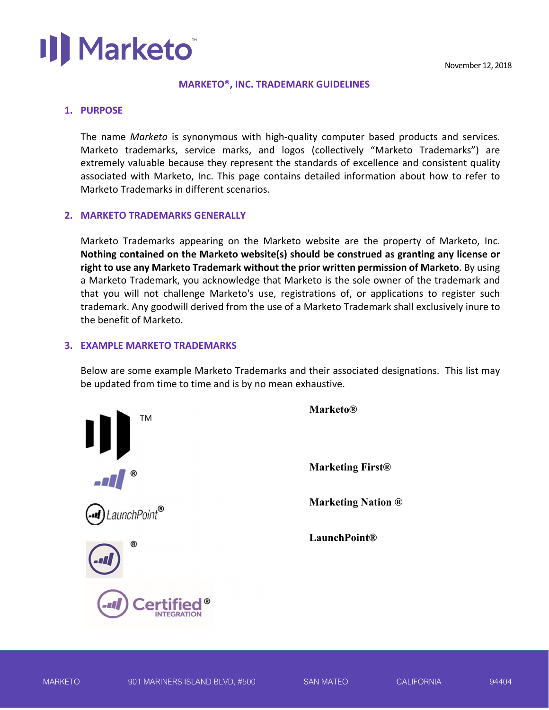## Marketo<sup>®</sup>

#### **MARKETO®, INC. TRADEMARK GUIDELINES**

#### **1. PURPOSE**

The name *Marketo*  is synonymous with high‐quality computer based products and services. Marketo trademarks, service marks, and logos (collectively "Marketo Trademarks") are extremely valuable because they represent the standards of excellence and consistent quality associated with Marketo, Inc. This page contains detailed information about how to refer to Marketo Trademarks in different scenarios.

### **2. MARKETO TRADEMARKS GENERALLY**

Marketo Trademarks appearing on the Marketo website are the property of Marketo, Inc. **Nothing contained on the Marketo website(s) should be construed as granting any license or right to use any Marketo Trademark without the prior written permission of Marketo**. By using a Marketo Trademark, you acknowledge that Marketo is the sole owner of the trademark and that you will not challenge Marketo's use, registrations of, or applications to register such trademark. Any goodwill derived from the use of a Marketo Trademark shall exclusively inure to the benefit of Marketo.

### **3. EXAMPLE MARKETO TRADEMARKS**

Below are some example Marketo Trademarks and their associated designations. This list may be updated from time to time and is by no mean exhaustive.



**Marketing First®** 

**Marketing Nation ®** 

**LaunchPoint®**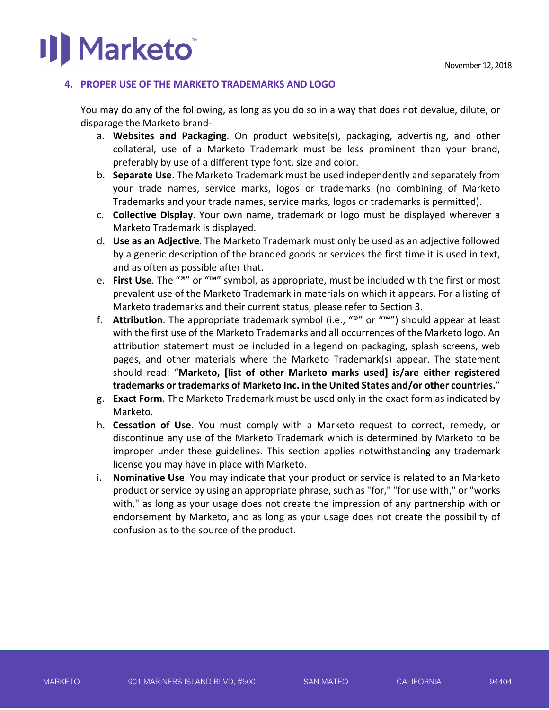## **Marketo**

### **4. PROPER USE OF THE MARKETO TRADEMARKS AND LOGO**

You may do any of the following, as long as you do so in a way that does not devalue, dilute, or disparage the Marketo brand‐

- a. **Websites and Packaging**. On product website(s), packaging, advertising, and other collateral, use of a Marketo Trademark must be less prominent than your brand, preferably by use of a different type font, size and color.
- b. **Separate Use**. The Marketo Trademark must be used independently and separately from your trade names, service marks, logos or trademarks (no combining of Marketo Trademarks and your trade names, service marks, logos or trademarks is permitted).
- c. **Collective Display**. Your own name, trademark or logo must be displayed wherever a Marketo Trademark is displayed.
- d. **Use as an Adjective**. The Marketo Trademark must only be used as an adjective followed by a generic description of the branded goods or services the first time it is used in text, and as often as possible after that.
- e. **First Use**. The "®" or "™" symbol, as appropriate, must be included with the first or most prevalent use of the Marketo Trademark in materials on which it appears. For a listing of Marketo trademarks and their current status, please refer to Section 3.
- f. **Attribution**. The appropriate trademark symbol (i.e., "®" or "™") should appear at least with the first use of the Marketo Trademarks and all occurrences of the Marketo logo. An attribution statement must be included in a legend on packaging, splash screens, web pages, and other materials where the Marketo Trademark(s) appear. The statement should read: "**Marketo, [list of other Marketo marks used] is/are either registered trademarks or trademarks of Marketo Inc. in the United States and/or other countries.**"
- g. **Exact Form**. The Marketo Trademark must be used only in the exact form as indicated by Marketo.
- h. **Cessation of Use**. You must comply with a Marketo request to correct, remedy, or discontinue any use of the Marketo Trademark which is determined by Marketo to be improper under these guidelines. This section applies notwithstanding any trademark license you may have in place with Marketo.
- i. **Nominative Use**. You may indicate that your product or service is related to an Marketo product or service by using an appropriate phrase, such as "for," "for use with," or "works with," as long as your usage does not create the impression of any partnership with or endorsement by Marketo, and as long as your usage does not create the possibility of confusion as to the source of the product.